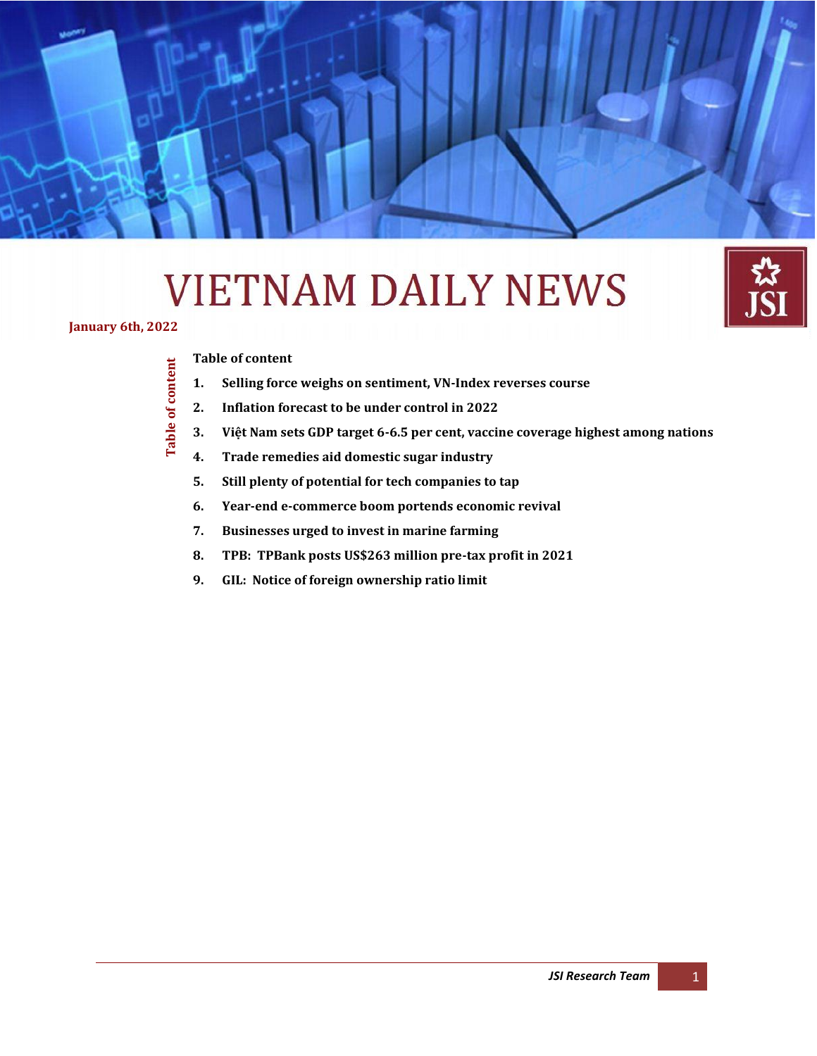# **VIETNAM DAILY NEWS**



**Table of content**

<span id="page-0-0"></span>Table of content

#### **[Table of content](#page-0-0)**

- **1. [Selling force weighs on sentiment, VN-Index reverses course](#page-1-0)**
- **2. [Inflation forecast to be under control in 2022](#page-2-0)**

**Daily Information Update – Japan Securities Co., Ltd** *(January 6*

**3. Việt Nam sets GDP target 6[-6.5 per cent, vaccine coverage highest among nations](#page-2-1)**

*th , 2022)*

- **4. [Trade remedies aid domestic sugar industry](#page-4-0)**
- **5. [Still plenty of potential for tech companies to tap](#page-5-0)**
- **6. [Year-end e-commerce boom portends economic revival](#page-7-0)**
- **7. [Businesses urged to invest in marine farming](#page-7-1)**
- **8. [TPB: TPBank posts US\\$263 million pre-tax profit in 2021](#page-9-0)**
- **9. [GIL: Notice of foreign ownership ratio limit](#page-9-1)**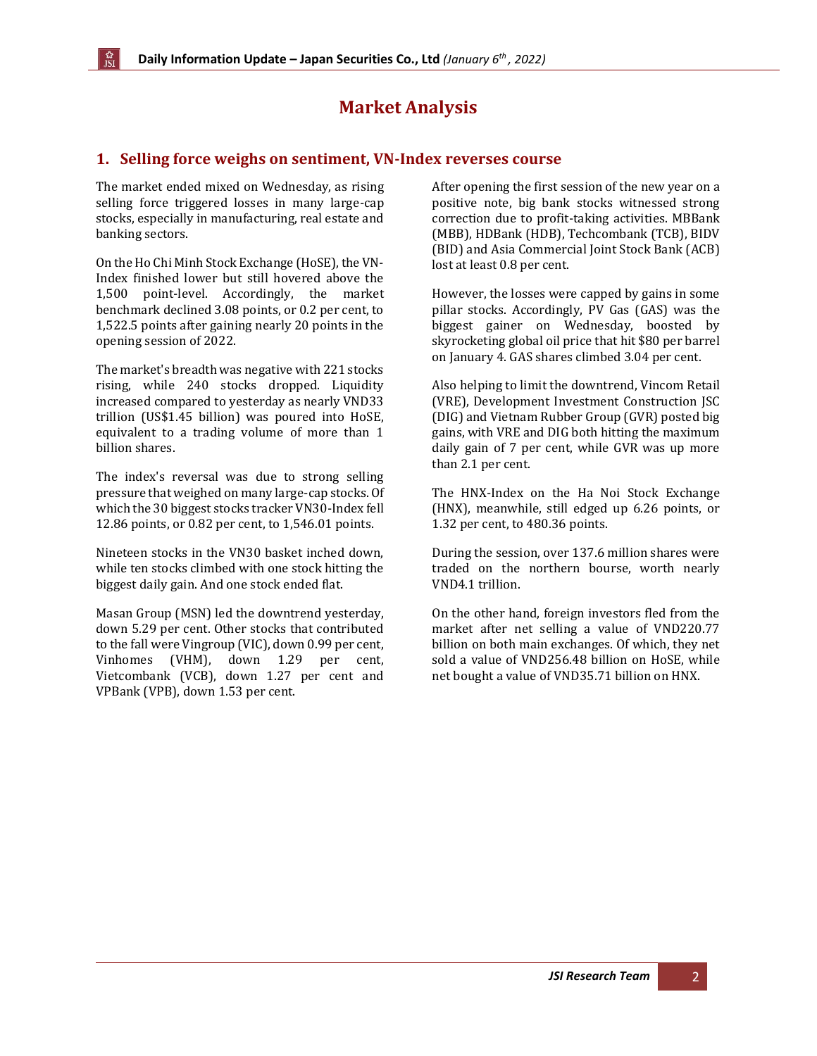# **Market Analysis**

#### <span id="page-1-0"></span>**1. Selling force weighs on sentiment, VN-Index reverses course**

The market ended mixed on Wednesday, as rising selling force triggered losses in many large-cap stocks, especially in manufacturing, real estate and banking sectors.

On the Ho Chi Minh Stock Exchange (HoSE), the VN-Index finished lower but still hovered above the 1,500 point-level. Accordingly, the market benchmark declined 3.08 points, or 0.2 per cent, to 1,522.5 points after gaining nearly 20 points in the opening session of 2022.

The market's breadth was negative with 221 stocks rising, while 240 stocks dropped. Liquidity increased compared to yesterday as nearly VND33 trillion (US\$1.45 billion) was poured into HoSE, equivalent to a trading volume of more than 1 billion shares.

The index's reversal was due to strong selling pressure that weighed on many large-cap stocks. Of which the 30 biggest stocks tracker VN30-Index fell 12.86 points, or 0.82 per cent, to 1,546.01 points.

Nineteen stocks in the VN30 basket inched down, while ten stocks climbed with one stock hitting the biggest daily gain. And one stock ended flat.

Masan Group (MSN) led the downtrend yesterday, down 5.29 per cent. Other stocks that contributed to the fall were Vingroup (VIC), down 0.99 per cent, Vinhomes (VHM), down 1.29 per cent, Vietcombank (VCB), down 1.27 per cent and VPBank (VPB), down 1.53 per cent.

After opening the first session of the new year on a positive note, big bank stocks witnessed strong correction due to profit-taking activities. MBBank (MBB), HDBank (HDB), Techcombank (TCB), BIDV (BID) and Asia Commercial Joint Stock Bank (ACB) lost at least 0.8 per cent.

However, the losses were capped by gains in some pillar stocks. Accordingly, PV Gas (GAS) was the biggest gainer on Wednesday, boosted by skyrocketing global oil price that hit \$80 per barrel on January 4. GAS shares climbed 3.04 per cent.

Also helping to limit the downtrend, Vincom Retail (VRE), Development Investment Construction JSC (DIG) and Vietnam Rubber Group (GVR) posted big gains, with VRE and DIG both hitting the maximum daily gain of 7 per cent, while GVR was up more than 2.1 per cent.

The HNX-Index on the Ha Noi Stock Exchange (HNX), meanwhile, still edged up 6.26 points, or 1.32 per cent, to 480.36 points.

During the session, over 137.6 million shares were traded on the northern bourse, worth nearly VND4.1 trillion.

On the other hand, foreign investors fled from the market after net selling a value of VND220.77 billion on both main exchanges. Of which, they net sold a value of VND256.48 billion on HoSE, while net bought a value of VND35.71 billion on HNX.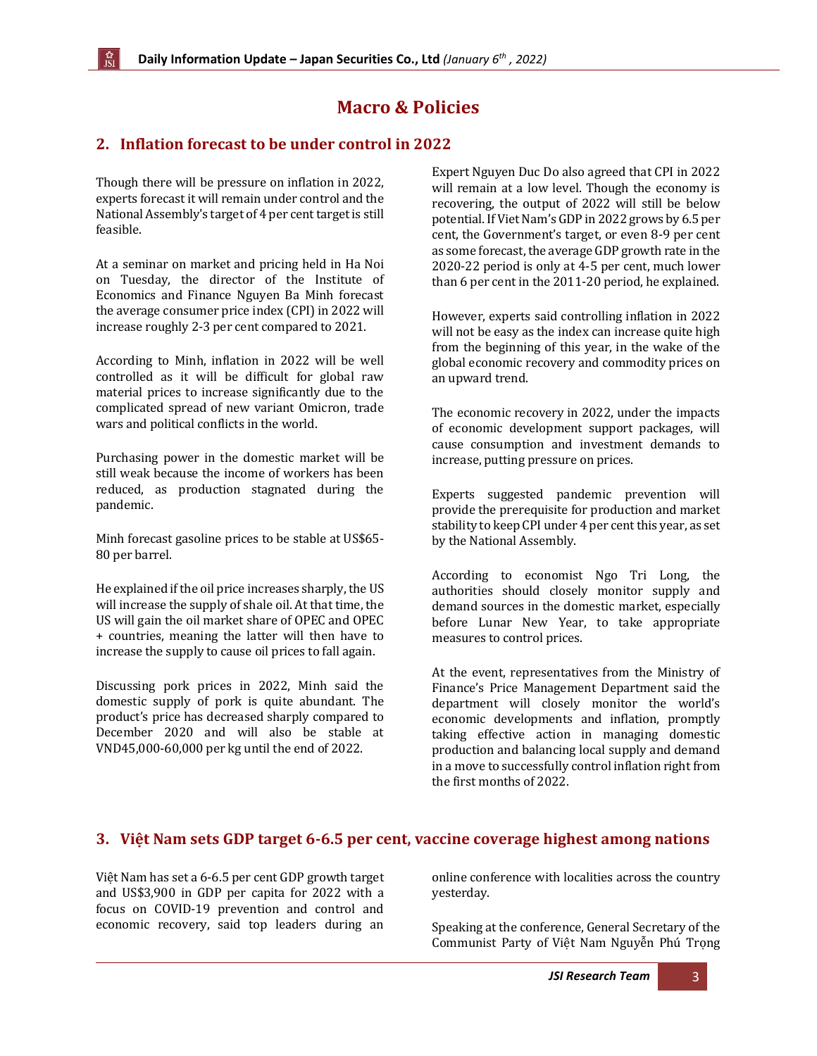# **Macro & Policies**

### <span id="page-2-0"></span>**2. Inflation forecast to be under control in 2022**

Though there will be pressure on inflation in 2022, experts forecast it will remain under control and the National Assembly's target of 4 per cent target is still feasible.

At a seminar on market and pricing held in Ha Noi on Tuesday, the director of the Institute of Economics and Finance Nguyen Ba Minh forecast the average consumer price index (CPI) in 2022 will increase roughly 2-3 per cent compared to 2021.

According to Minh, inflation in 2022 will be well controlled as it will be difficult for global raw material prices to increase significantly due to the complicated spread of new variant Omicron, trade wars and political conflicts in the world.

Purchasing power in the domestic market will be still weak because the income of workers has been reduced, as production stagnated during the pandemic.

Minh forecast gasoline prices to be stable at US\$65- 80 per barrel.

He explained if the oil price increases sharply, the US will increase the supply of shale oil. At that time, the US will gain the oil market share of OPEC and OPEC + countries, meaning the latter will then have to increase the supply to cause oil prices to fall again.

Discussing pork prices in 2022, Minh said the domestic supply of pork is quite abundant. The product's price has decreased sharply compared to December 2020 and will also be stable at VND45,000-60,000 per kg until the end of 2022.

Expert Nguyen Duc Do also agreed that CPI in 2022 will remain at a low level. Though the economy is recovering, the output of 2022 will still be below potential. If Viet Nam's GDP in 2022 grows by 6.5 per cent, the Government's target, or even 8-9 per cent as some forecast, the average GDP growth rate in the 2020-22 period is only at 4-5 per cent, much lower than 6 per cent in the 2011-20 period, he explained.

However, experts said controlling inflation in 2022 will not be easy as the index can increase quite high from the beginning of this year, in the wake of the global economic recovery and commodity prices on an upward trend.

The economic recovery in 2022, under the impacts of economic development support packages, will cause consumption and investment demands to increase, putting pressure on prices.

Experts suggested pandemic prevention will provide the prerequisite for production and market stability to keep CPI under 4 per cent this year, as set by the National Assembly.

According to economist Ngo Tri Long, the authorities should closely monitor supply and demand sources in the domestic market, especially before Lunar New Year, to take appropriate measures to control prices.

At the event, representatives from the Ministry of Finance's Price Management Department said the department will closely monitor the world's economic developments and inflation, promptly taking effective action in managing domestic production and balancing local supply and demand in a move to successfully control inflation right from the first months of 2022.

#### <span id="page-2-1"></span>**3. Việt Nam sets GDP target 6-6.5 per cent, vaccine coverage highest among nations**

Việt Nam has set a 6-6.5 per cent GDP growth target and US\$3,900 in GDP per capita for 2022 with a focus on COVID-19 prevention and control and economic recovery, said top leaders during an online conference with localities across the country yesterday.

Speaking at the conference, General Secretary of the Communist Party of Việt Nam Nguyễn Phú Trọng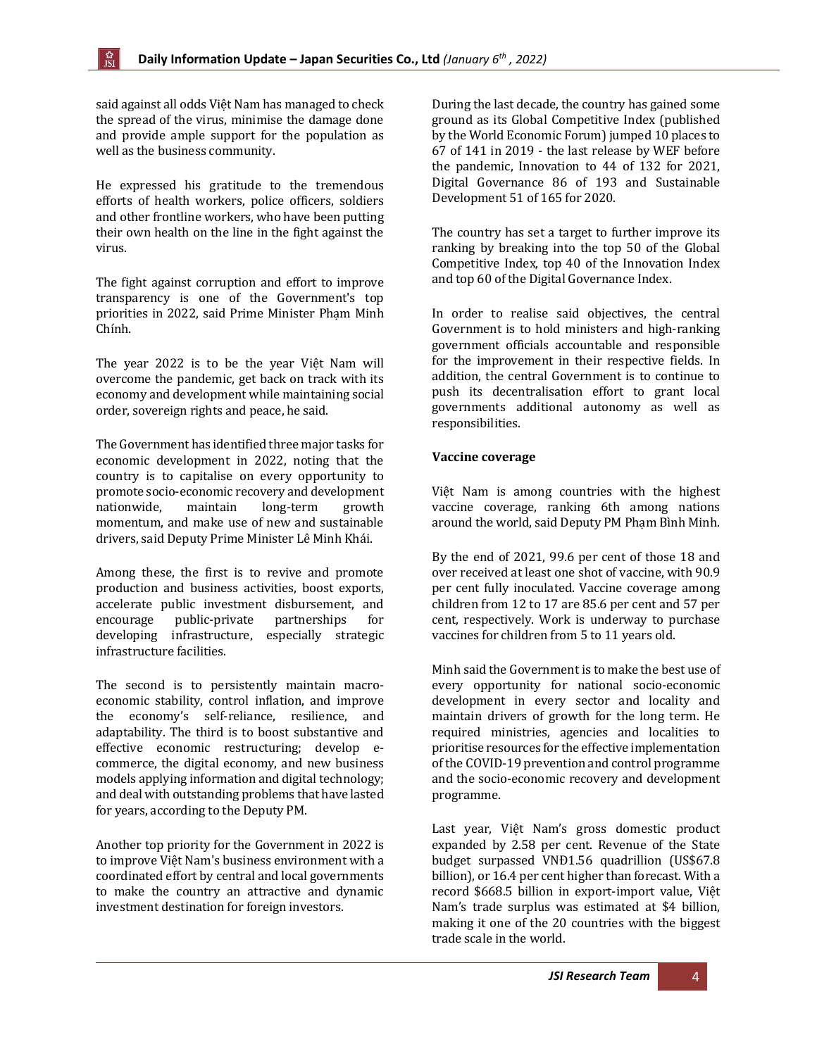said against all odds Việt Nam has managed to check the spread of the virus, minimise the damage done and provide ample support for the population as well as the business community.

He expressed his gratitude to the tremendous efforts of health workers, police officers, soldiers and other frontline workers, who have been putting their own health on the line in the fight against the virus.

The fight against corruption and effort to improve transparency is one of the Government's top priorities in 2022, said Prime Minister Phạm Minh Chính.

The year 2022 is to be the year Việt Nam will overcome the pandemic, get back on track with its economy and development while maintaining social order, sovereign rights and peace, he said.

The Government has identified three major tasks for economic development in 2022, noting that the country is to capitalise on every opportunity to promote socio-economic recovery and development nationwide, maintain long-term growth momentum, and make use of new and sustainable drivers, said Deputy Prime Minister Lê Minh Khái.

Among these, the first is to revive and promote production and business activities, boost exports, accelerate public investment disbursement, and encourage public-private partnerships for developing infrastructure, especially strategic infrastructure facilities.

The second is to persistently maintain macroeconomic stability, control inflation, and improve the economy's self-reliance, resilience, and adaptability. The third is to boost substantive and effective economic restructuring; develop ecommerce, the digital economy, and new business models applying information and digital technology; and deal with outstanding problems that have lasted for years, according to the Deputy PM.

Another top priority for the Government in 2022 is to improve Việt Nam's business environment with a coordinated effort by central and local governments to make the country an attractive and dynamic investment destination for foreign investors.

During the last decade, the country has gained some ground as its Global Competitive Index (published by the World Economic Forum) jumped 10 places to 67 of 141 in 2019 - the last release by WEF before the pandemic, Innovation to 44 of 132 for 2021, Digital Governance 86 of 193 and Sustainable Development 51 of 165 for 2020.

The country has set a target to further improve its ranking by breaking into the top 50 of the Global Competitive Index, top 40 of the Innovation Index and top 60 of the Digital Governance Index.

In order to realise said objectives, the central Government is to hold ministers and high-ranking government officials accountable and responsible for the improvement in their respective fields. In addition, the central Government is to continue to push its decentralisation effort to grant local governments additional autonomy as well as responsibilities.

#### **Vaccine coverage**

Việt Nam is among countries with the highest vaccine coverage, ranking 6th among nations around the world, said Deputy PM Phạm Bình Minh.

By the end of 2021, 99.6 per cent of those 18 and over received at least one shot of vaccine, with 90.9 per cent fully inoculated. Vaccine coverage among children from 12 to 17 are 85.6 per cent and 57 per cent, respectively. Work is underway to purchase vaccines for children from 5 to 11 years old.

Minh said the Government is to make the best use of every opportunity for national socio-economic development in every sector and locality and maintain drivers of growth for the long term. He required ministries, agencies and localities to prioritise resources for the effective implementation of the COVID-19 prevention and control programme and the socio-economic recovery and development programme.

Last year, Việt Nam's gross domestic product expanded by 2.58 per cent. Revenue of the State budget surpassed VNĐ1.56 quadrillion (US\$67.8 billion), or 16.4 per cent higher than forecast. With a record \$668.5 billion in export-import value, Việt Nam's trade surplus was estimated at \$4 billion, making it one of the 20 countries with the biggest trade scale in the world.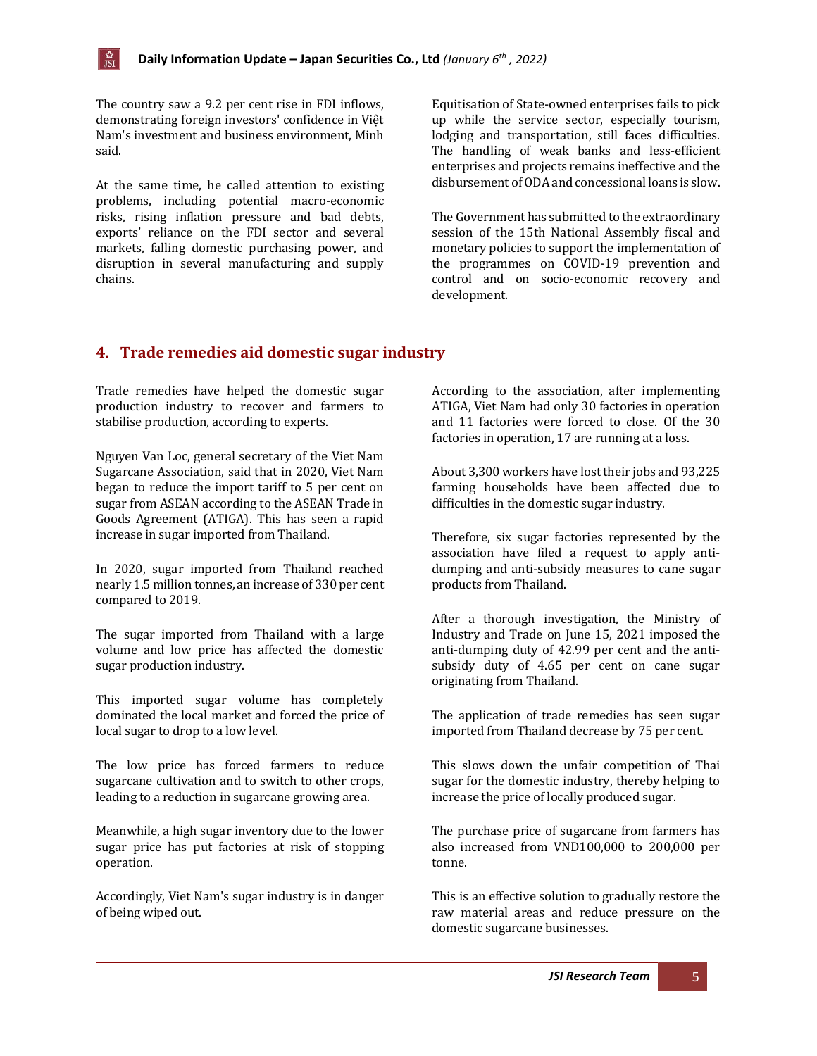The country saw a 9.2 per cent rise in FDI inflows, demonstrating foreign investors' confidence in Việt Nam's investment and business environment, Minh said.

At the same time, he called attention to existing problems, including potential macro-economic risks, rising inflation pressure and bad debts, exports' reliance on the FDI sector and several markets, falling domestic purchasing power, and disruption in several manufacturing and supply chains.

Equitisation of State-owned enterprises fails to pick up while the service sector, especially tourism, lodging and transportation, still faces difficulties. The handling of weak banks and less-efficient enterprises and projects remains ineffective and the disbursement of ODA and concessional loans is slow.

The Government has submitted to the extraordinary session of the 15th National Assembly fiscal and monetary policies to support the implementation of the programmes on COVID-19 prevention and control and on socio-economic recovery and development.

#### <span id="page-4-0"></span>**4. Trade remedies aid domestic sugar industry**

Trade remedies have helped the domestic sugar production industry to recover and farmers to stabilise production, according to experts.

Nguyen Van Loc, general secretary of the Viet Nam Sugarcane Association, said that in 2020, Viet Nam began to reduce the import tariff to 5 per cent on sugar from ASEAN according to the ASEAN Trade in Goods Agreement (ATIGA). This has seen a rapid increase in sugar imported from Thailand.

In 2020, sugar imported from Thailand reached nearly 1.5 million tonnes, an increase of 330 per cent compared to 2019.

The sugar imported from Thailand with a large volume and low price has affected the domestic sugar production industry.

This imported sugar volume has completely dominated the local market and forced the price of local sugar to drop to a low level.

The low price has forced farmers to reduce sugarcane cultivation and to switch to other crops, leading to a reduction in sugarcane growing area.

Meanwhile, a high sugar inventory due to the lower sugar price has put factories at risk of stopping operation.

Accordingly, Viet Nam's sugar industry is in danger of being wiped out.

According to the association, after implementing ATIGA, Viet Nam had only 30 factories in operation and 11 factories were forced to close. Of the 30 factories in operation, 17 are running at a loss.

About 3,300 workers have lost their jobs and 93,225 farming households have been affected due to difficulties in the domestic sugar industry.

Therefore, six sugar factories represented by the association have filed a request to apply antidumping and anti-subsidy measures to cane sugar products from Thailand.

After a thorough investigation, the Ministry of Industry and Trade on June 15, 2021 imposed the anti-dumping duty of 42.99 per cent and the antisubsidy duty of 4.65 per cent on cane sugar originating from Thailand.

The application of trade remedies has seen sugar imported from Thailand decrease by 75 per cent.

This slows down the unfair competition of Thai sugar for the domestic industry, thereby helping to increase the price of locally produced sugar.

The purchase price of sugarcane from farmers has also increased from VND100,000 to 200,000 per tonne.

This is an effective solution to gradually restore the raw material areas and reduce pressure on the domestic sugarcane businesses.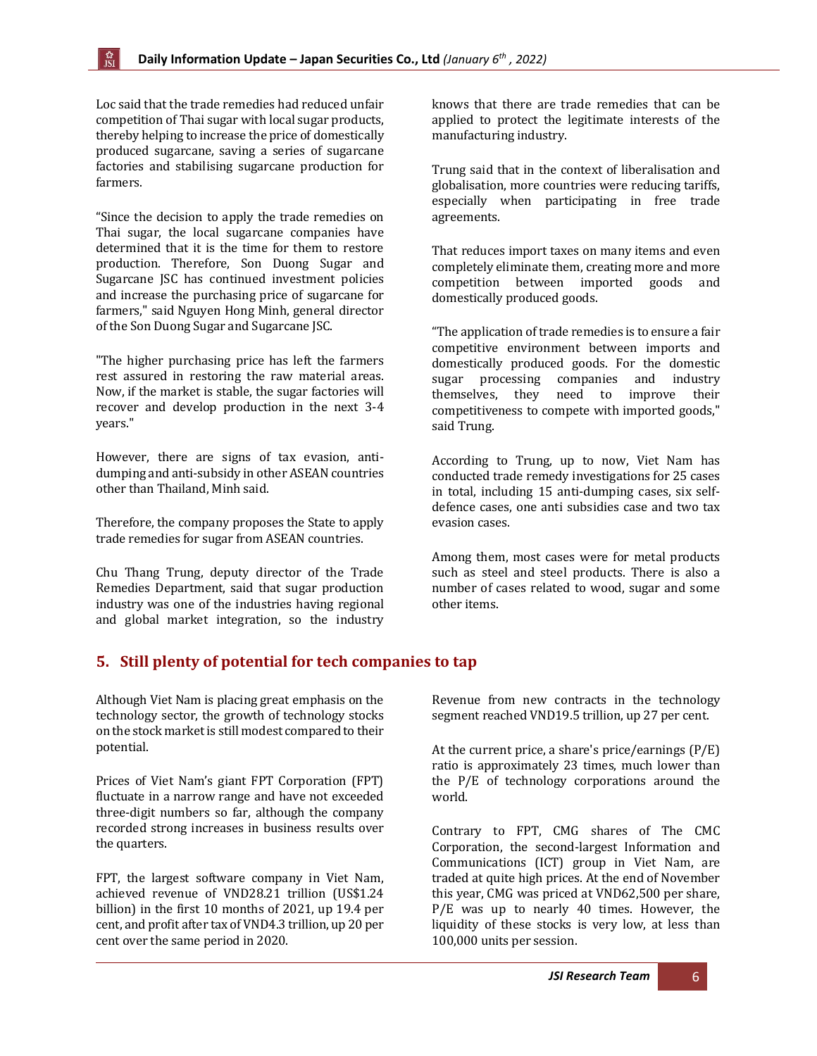Loc said that the trade remedies had reduced unfair competition of Thai sugar with local sugar products, thereby helping to increase the price of domestically produced sugarcane, saving a series of sugarcane factories and stabilising sugarcane production for farmers.

"Since the decision to apply the trade remedies on Thai sugar, the local sugarcane companies have determined that it is the time for them to restore production. Therefore, Son Duong Sugar and Sugarcane JSC has continued investment policies and increase the purchasing price of sugarcane for farmers," said Nguyen Hong Minh, general director of the Son Duong Sugar and Sugarcane JSC.

"The higher purchasing price has left the farmers rest assured in restoring the raw material areas. Now, if the market is stable, the sugar factories will recover and develop production in the next 3-4 years."

However, there are signs of tax evasion, antidumping and anti-subsidy in other ASEAN countries other than Thailand, Minh said.

Therefore, the company proposes the State to apply trade remedies for sugar from ASEAN countries.

Chu Thang Trung, deputy director of the Trade Remedies Department, said that sugar production industry was one of the industries having regional and global market integration, so the industry

knows that there are trade remedies that can be applied to protect the legitimate interests of the manufacturing industry.

Trung said that in the context of liberalisation and globalisation, more countries were reducing tariffs, especially when participating in free trade agreements.

That reduces import taxes on many items and even completely eliminate them, creating more and more competition between imported goods and domestically produced goods.

"The application of trade remedies is to ensure a fair competitive environment between imports and domestically produced goods. For the domestic sugar processing companies and industry themselves, they need to improve their competitiveness to compete with imported goods," said Trung.

According to Trung, up to now, Viet Nam has conducted trade remedy investigations for 25 cases in total, including 15 anti-dumping cases, six selfdefence cases, one anti subsidies case and two tax evasion cases.

Among them, most cases were for metal products such as steel and steel products. There is also a number of cases related to wood, sugar and some other items.

#### <span id="page-5-0"></span>**5. Still plenty of potential for tech companies to tap**

Although Viet Nam is placing great emphasis on the technology sector, the growth of technology stocks on the stock market is still modest compared to their potential.

Prices of Viet Nam's giant FPT Corporation (FPT) fluctuate in a narrow range and have not exceeded three-digit numbers so far, although the company recorded strong increases in business results over the quarters.

FPT, the largest software company in Viet Nam, achieved revenue of VND28.21 trillion (US\$1.24 billion) in the first 10 months of 2021, up 19.4 per cent, and profit after tax of VND4.3 trillion, up 20 per cent over the same period in 2020.

Revenue from new contracts in the technology segment reached VND19.5 trillion, up 27 per cent.

At the current price, a share's price/earnings (P/E) ratio is approximately 23 times, much lower than the P/E of technology corporations around the world.

Contrary to FPT, CMG shares of The CMC Corporation, the second-largest Information and Communications (ICT) group in Viet Nam, are traded at quite high prices. At the end of November this year, CMG was priced at VND62,500 per share, P/E was up to nearly 40 times. However, the liquidity of these stocks is very low, at less than 100,000 units per session.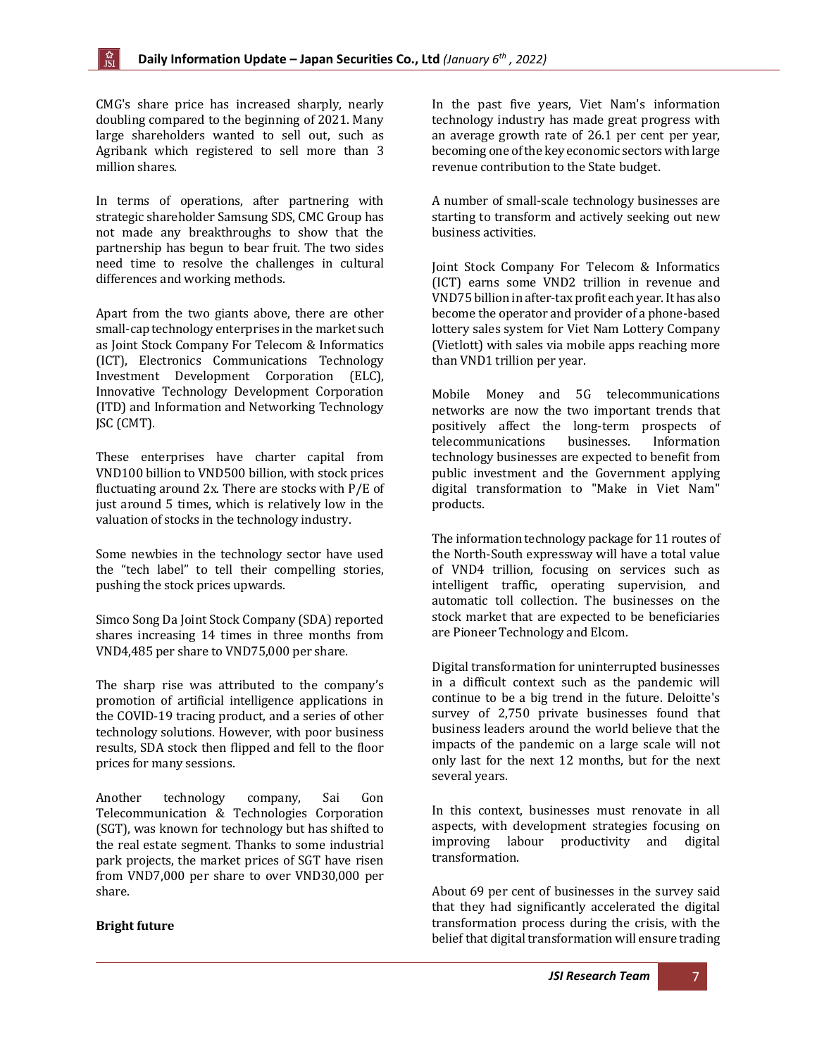CMG's share price has increased sharply, nearly doubling compared to the beginning of 2021. Many large shareholders wanted to sell out, such as Agribank which registered to sell more than 3 million shares.

In terms of operations, after partnering with strategic shareholder Samsung SDS, CMC Group has not made any breakthroughs to show that the partnership has begun to bear fruit. The two sides need time to resolve the challenges in cultural differences and working methods.

Apart from the two giants above, there are other small-cap technology enterprises in the market such as Joint Stock Company For Telecom & Informatics (ICT), Electronics Communications Technology Investment Development Corporation (ELC), Innovative Technology Development Corporation (ITD) and Information and Networking Technology JSC (CMT).

These enterprises have charter capital from VND100 billion to VND500 billion, with stock prices fluctuating around 2x. There are stocks with P/E of just around 5 times, which is relatively low in the valuation of stocks in the technology industry.

Some newbies in the technology sector have used the "tech label" to tell their compelling stories, pushing the stock prices upwards.

Simco Song Da Joint Stock Company (SDA) reported shares increasing 14 times in three months from VND4,485 per share to VND75,000 per share.

The sharp rise was attributed to the company's promotion of artificial intelligence applications in the COVID-19 tracing product, and a series of other technology solutions. However, with poor business results, SDA stock then flipped and fell to the floor prices for many sessions.

Another technology company, Sai Gon Telecommunication & Technologies Corporation (SGT), was known for technology but has shifted to the real estate segment. Thanks to some industrial park projects, the market prices of SGT have risen from VND7,000 per share to over VND30,000 per share.

#### **Bright future**

In the past five years, Viet Nam's information technology industry has made great progress with an average growth rate of 26.1 per cent per year, becoming one of the key economic sectors with large revenue contribution to the State budget.

A number of small-scale technology businesses are starting to transform and actively seeking out new business activities.

Joint Stock Company For Telecom & Informatics (ICT) earns some VND2 trillion in revenue and VND75 billion in after-tax profit each year. It has also become the operator and provider of a phone-based lottery sales system for Viet Nam Lottery Company (Vietlott) with sales via mobile apps reaching more than VND1 trillion per year.

Mobile Money and 5G telecommunications networks are now the two important trends that positively affect the long-term prospects of telecommunications businesses. Information technology businesses are expected to benefit from public investment and the Government applying digital transformation to "Make in Viet Nam" products.

The information technology package for 11 routes of the North-South expressway will have a total value of VND4 trillion, focusing on services such as intelligent traffic, operating supervision, and automatic toll collection. The businesses on the stock market that are expected to be beneficiaries are Pioneer Technology and Elcom.

Digital transformation for uninterrupted businesses in a difficult context such as the pandemic will continue to be a big trend in the future. Deloitte's survey of 2,750 private businesses found that business leaders around the world believe that the impacts of the pandemic on a large scale will not only last for the next 12 months, but for the next several years.

In this context, businesses must renovate in all aspects, with development strategies focusing on improving labour productivity and digital transformation.

About 69 per cent of businesses in the survey said that they had significantly accelerated the digital transformation process during the crisis, with the belief that digital transformation will ensure trading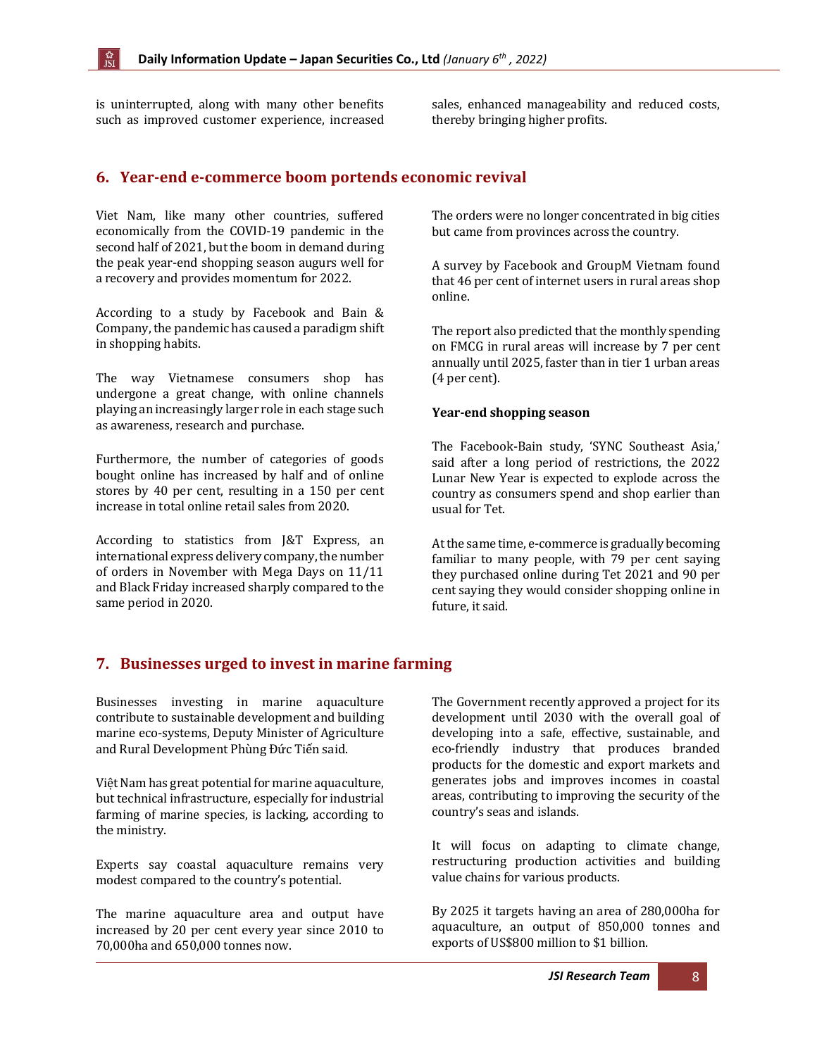is uninterrupted, along with many other benefits such as improved customer experience, increased sales, enhanced manageability and reduced costs, thereby bringing higher profits.

#### <span id="page-7-0"></span>**6. Year-end e-commerce boom portends economic revival**

Viet Nam, like many other countries, suffered economically from the COVID-19 pandemic in the second half of 2021, but the boom in demand during the peak year-end shopping season augurs well for a recovery and provides momentum for 2022.

According to a study by Facebook and Bain & Company, the pandemic has caused a paradigm shift in shopping habits.

The way Vietnamese consumers shop has undergone a great change, with online channels playing an increasingly larger role in each stage such as awareness, research and purchase.

Furthermore, the number of categories of goods bought online has increased by half and of online stores by 40 per cent, resulting in a 150 per cent increase in total online retail sales from 2020.

According to statistics from J&T Express, an international express delivery company, the number of orders in November with Mega Days on 11/11 and Black Friday increased sharply compared to the same period in 2020.

The orders were no longer concentrated in big cities but came from provinces across the country.

A survey by Facebook and GroupM Vietnam found that 46 per cent of internet users in rural areas shop online.

The report also predicted that the monthly spending on FMCG in rural areas will increase by 7 per cent annually until 2025, faster than in tier 1 urban areas (4 per cent).

#### **Year-end shopping season**

The Facebook-Bain study, 'SYNC Southeast Asia,' said after a long period of restrictions, the 2022 Lunar New Year is expected to explode across the country as consumers spend and shop earlier than usual for Tet.

At the same time, e-commerce is gradually becoming familiar to many people, with 79 per cent saying they purchased online during Tet 2021 and 90 per cent saying they would consider shopping online in future, it said.

#### <span id="page-7-1"></span>**7. Businesses urged to invest in marine farming**

Businesses investing in marine aquaculture contribute to sustainable development and building marine eco-systems, Deputy Minister of Agriculture and Rural Development Phùng Đức Tiến said.

Việt Nam has great potential for marine aquaculture, but technical infrastructure, especially for industrial farming of marine species, is lacking, according to the ministry.

Experts say coastal aquaculture remains very modest compared to the country's potential.

The marine aquaculture area and output have increased by 20 per cent every year since 2010 to 70,000ha and 650,000 tonnes now.

The Government recently approved a project for its development until 2030 with the overall goal of developing into a safe, effective, sustainable, and eco-friendly industry that produces branded products for the domestic and export markets and generates jobs and improves incomes in coastal areas, contributing to improving the security of the country's seas and islands.

It will focus on adapting to climate change, restructuring production activities and building value chains for various products.

By 2025 it targets having an area of 280,000ha for aquaculture, an output of 850,000 tonnes and exports of US\$800 million to \$1 billion.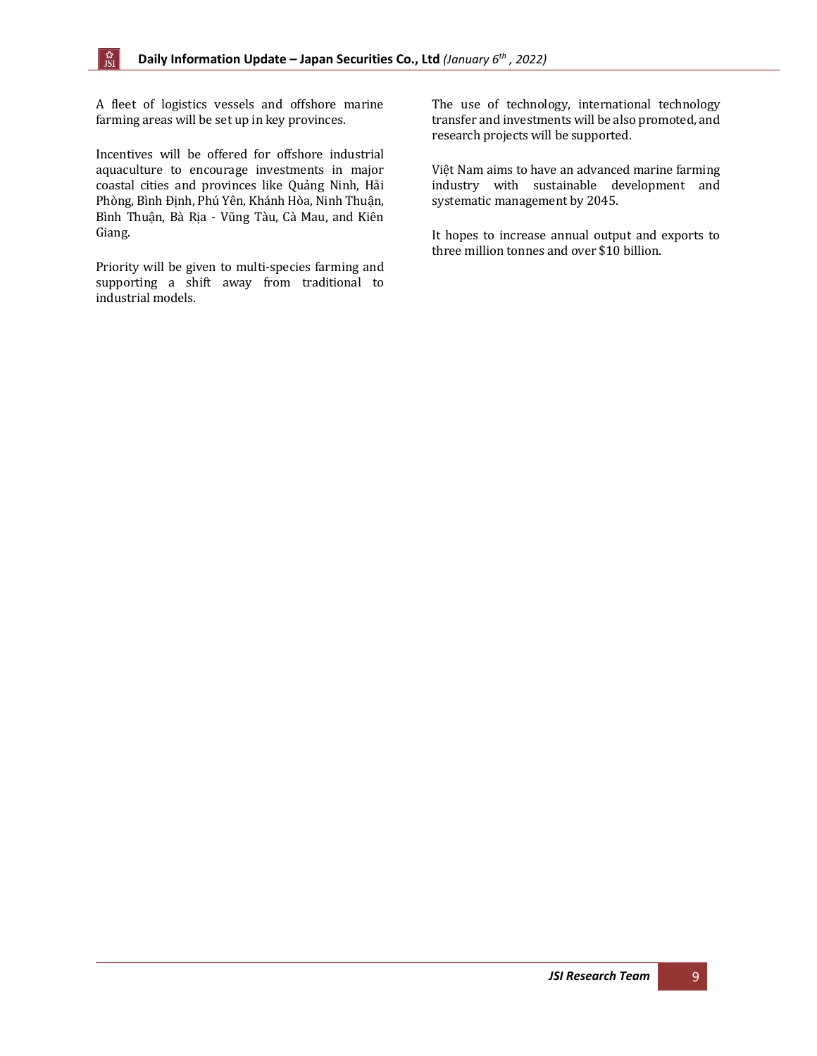A fleet of logistics vessels and offshore marine farming areas will be set up in key provinces.

☆<br>JSI

Incentives will be offered for offshore industrial aquaculture to encourage investments in major coastal cities and provinces like Quảng Ninh, Hải Phòng, Bình Định, Phú Yên, Khánh Hòa, Ninh Thuận, Bình Thuận, Bà Rịa - Vũng Tàu, Cà Mau, and Kiên Giang.

Priority will be given to multi-species farming and supporting a shift away from traditional to industrial models.

The use of technology, international technology transfer and investments will be also promoted, and research projects will be supported.

Việt Nam aims to have an advanced marine farming industry with sustainable development and systematic management by 2045.

It hopes to increase annual output and exports to three million tonnes and over \$10 billion.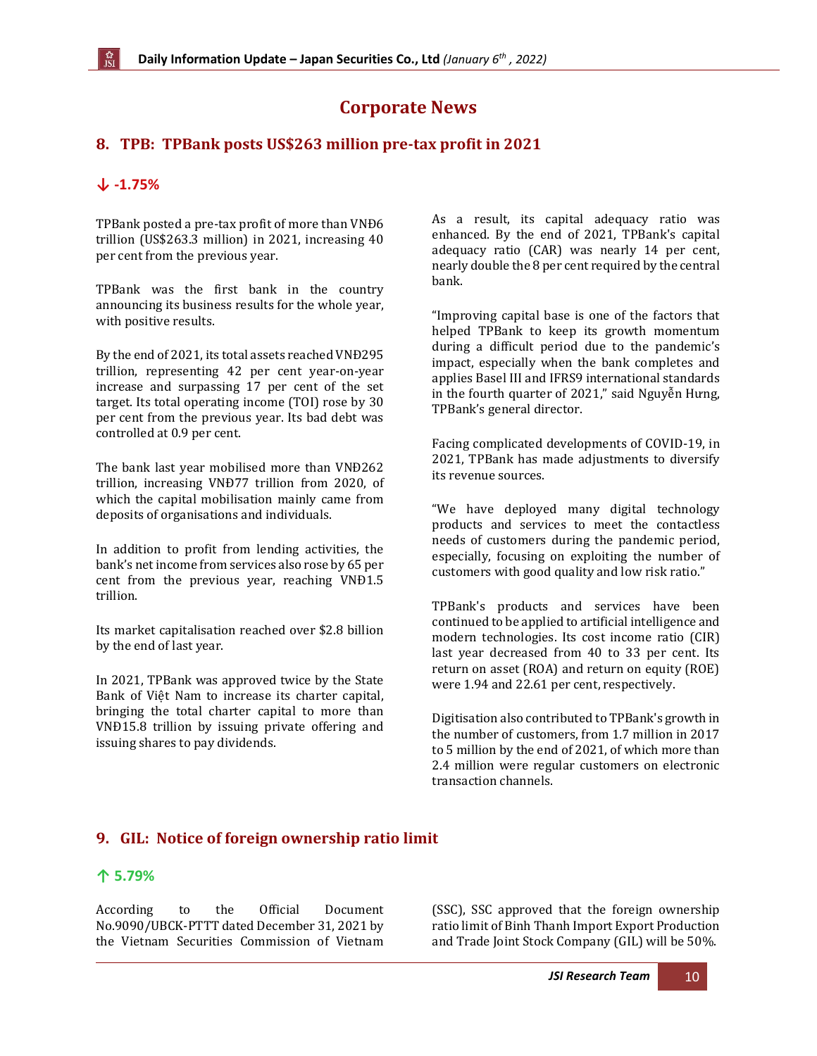## **Corporate News**

### <span id="page-9-0"></span>**8. TPB: TPBank posts US\$263 million pre-tax profit in 2021**

#### **↓ -1.75%**

TPBank posted a pre-tax profit of more than VNĐ6 trillion (US\$263.3 million) in 2021, increasing 40 per cent from the previous year.

TPBank was the first bank in the country announcing its business results for the whole year, with positive results.

By the end of 2021, its total assets reached VNĐ295 trillion, representing 42 per cent year-on-year increase and surpassing 17 per cent of the set target. Its total operating income (TOI) rose by 30 per cent from the previous year. Its bad debt was controlled at 0.9 per cent.

The bank last year mobilised more than VNĐ262 trillion, increasing VNĐ77 trillion from 2020, of which the capital mobilisation mainly came from deposits of organisations and individuals.

In addition to profit from lending activities, the bank's net income from services also rose by 65 per cent from the previous year, reaching VNĐ1.5 trillion.

Its market capitalisation reached over \$2.8 billion by the end of last year.

In 2021, TPBank was approved twice by the State Bank of Việt Nam to increase its charter capital, bringing the total charter capital to more than VNĐ15.8 trillion by issuing private offering and issuing shares to pay dividends.

As a result, its capital adequacy ratio was enhanced. By the end of 2021, TPBank's capital adequacy ratio (CAR) was nearly 14 per cent, nearly double the 8 per cent required by the central bank.

"Improving capital base is one of the factors that helped TPBank to keep its growth momentum during a difficult period due to the pandemic's impact, especially when the bank completes and applies Basel III and IFRS9 international standards in the fourth quarter of 2021," said Nguyễn Hưng, TPBank's general director.

Facing complicated developments of COVID-19, in 2021, TPBank has made adjustments to diversify its revenue sources.

"We have deployed many digital technology products and services to meet the contactless needs of customers during the pandemic period, especially, focusing on exploiting the number of customers with good quality and low risk ratio."

TPBank's products and services have been continued to be applied to artificial intelligence and modern technologies. Its cost income ratio (CIR) last year decreased from 40 to 33 per cent. Its return on asset (ROA) and return on equity (ROE) were 1.94 and 22.61 per cent, respectively.

Digitisation also contributed to TPBank's growth in the number of customers, from 1.7 million in 2017 to 5 million by the end of 2021, of which more than 2.4 million were regular customers on electronic transaction channels.

#### <span id="page-9-1"></span>**9. GIL: Notice of foreign ownership ratio limit**

#### **↑ 5.79%**

According to the Official Document No.9090/UBCK-PTTT dated December 31, 2021 by the Vietnam Securities Commission of Vietnam (SSC), SSC approved that the foreign ownership ratio limit of Binh Thanh Import Export Production and Trade Joint Stock Company (GIL) will be 50%.